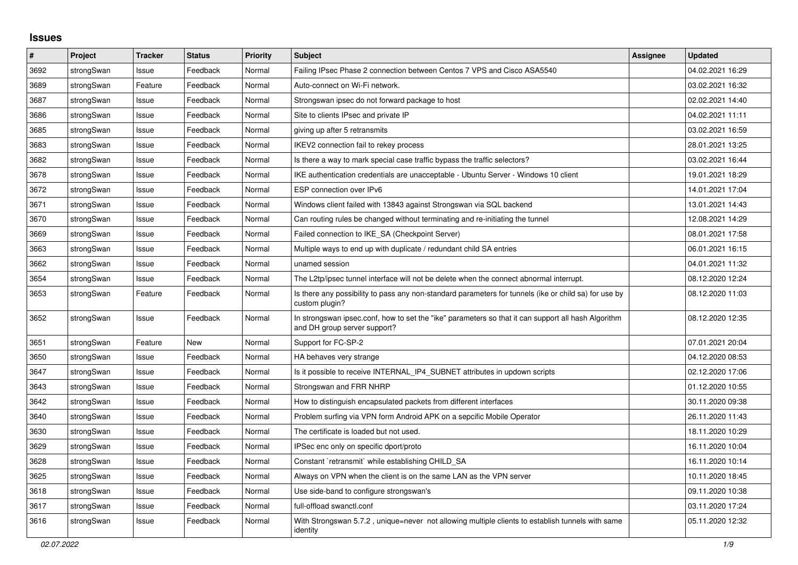## **Issues**

| #    | Project    | <b>Tracker</b> | <b>Status</b> | <b>Priority</b> | <b>Subject</b>                                                                                                                      | <b>Assignee</b> | <b>Updated</b>   |
|------|------------|----------------|---------------|-----------------|-------------------------------------------------------------------------------------------------------------------------------------|-----------------|------------------|
| 3692 | strongSwan | Issue          | Feedback      | Normal          | Failing IPsec Phase 2 connection between Centos 7 VPS and Cisco ASA5540                                                             |                 | 04.02.2021 16:29 |
| 3689 | strongSwan | Feature        | Feedback      | Normal          | Auto-connect on Wi-Fi network.                                                                                                      |                 | 03.02.2021 16:32 |
| 3687 | strongSwan | Issue          | Feedback      | Normal          | Strongswan ipsec do not forward package to host                                                                                     |                 | 02.02.2021 14:40 |
| 3686 | strongSwan | Issue          | Feedback      | Normal          | Site to clients IPsec and private IP                                                                                                |                 | 04.02.2021 11:11 |
| 3685 | strongSwan | Issue          | Feedback      | Normal          | giving up after 5 retransmits                                                                                                       |                 | 03.02.2021 16:59 |
| 3683 | strongSwan | Issue          | Feedback      | Normal          | IKEV2 connection fail to rekey process                                                                                              |                 | 28.01.2021 13:25 |
| 3682 | strongSwan | Issue          | Feedback      | Normal          | Is there a way to mark special case traffic bypass the traffic selectors?                                                           |                 | 03.02.2021 16:44 |
| 3678 | strongSwan | Issue          | Feedback      | Normal          | IKE authentication credentials are unacceptable - Ubuntu Server - Windows 10 client                                                 |                 | 19.01.2021 18:29 |
| 3672 | strongSwan | Issue          | Feedback      | Normal          | ESP connection over IPv6                                                                                                            |                 | 14.01.2021 17:04 |
| 3671 | strongSwan | Issue          | Feedback      | Normal          | Windows client failed with 13843 against Strongswan via SQL backend                                                                 |                 | 13.01.2021 14:43 |
| 3670 | strongSwan | Issue          | Feedback      | Normal          | Can routing rules be changed without terminating and re-initiating the tunnel                                                       |                 | 12.08.2021 14:29 |
| 3669 | strongSwan | Issue          | Feedback      | Normal          | Failed connection to IKE_SA (Checkpoint Server)                                                                                     |                 | 08.01.2021 17:58 |
| 3663 | strongSwan | Issue          | Feedback      | Normal          | Multiple ways to end up with duplicate / redundant child SA entries                                                                 |                 | 06.01.2021 16:15 |
| 3662 | strongSwan | Issue          | Feedback      | Normal          | unamed session                                                                                                                      |                 | 04.01.2021 11:32 |
| 3654 | strongSwan | Issue          | Feedback      | Normal          | The L2tp/ipsec tunnel interface will not be delete when the connect abnormal interrupt.                                             |                 | 08.12.2020 12:24 |
| 3653 | strongSwan | Feature        | Feedback      | Normal          | Is there any possibility to pass any non-standard parameters for tunnels (ike or child sa) for use by<br>custom plugin?             |                 | 08.12.2020 11:03 |
| 3652 | strongSwan | Issue          | Feedback      | Normal          | In strongswan ipsec.conf, how to set the "ike" parameters so that it can support all hash Algorithm<br>and DH group server support? |                 | 08.12.2020 12:35 |
| 3651 | strongSwan | Feature        | New           | Normal          | Support for FC-SP-2                                                                                                                 |                 | 07.01.2021 20:04 |
| 3650 | strongSwan | Issue          | Feedback      | Normal          | HA behaves very strange                                                                                                             |                 | 04.12.2020 08:53 |
| 3647 | strongSwan | Issue          | Feedback      | Normal          | Is it possible to receive INTERNAL IP4 SUBNET attributes in updown scripts                                                          |                 | 02.12.2020 17:06 |
| 3643 | strongSwan | Issue          | Feedback      | Normal          | Strongswan and FRR NHRP                                                                                                             |                 | 01.12.2020 10:55 |
| 3642 | strongSwan | Issue          | Feedback      | Normal          | How to distinguish encapsulated packets from different interfaces                                                                   |                 | 30.11.2020 09:38 |
| 3640 | strongSwan | Issue          | Feedback      | Normal          | Problem surfing via VPN form Android APK on a sepcific Mobile Operator                                                              |                 | 26.11.2020 11:43 |
| 3630 | strongSwan | Issue          | Feedback      | Normal          | The certificate is loaded but not used.                                                                                             |                 | 18.11.2020 10:29 |
| 3629 | strongSwan | Issue          | Feedback      | Normal          | IPSec enc only on specific dport/proto                                                                                              |                 | 16.11.2020 10:04 |
| 3628 | strongSwan | Issue          | Feedback      | Normal          | Constant `retransmit` while establishing CHILD_SA                                                                                   |                 | 16.11.2020 10:14 |
| 3625 | strongSwan | Issue          | Feedback      | Normal          | Always on VPN when the client is on the same LAN as the VPN server                                                                  |                 | 10.11.2020 18:45 |
| 3618 | strongSwan | Issue          | Feedback      | Normal          | Use side-band to configure strongswan's                                                                                             |                 | 09.11.2020 10:38 |
| 3617 | strongSwan | Issue          | Feedback      | Normal          | full-offload swanctl.conf                                                                                                           |                 | 03.11.2020 17:24 |
| 3616 | strongSwan | Issue          | Feedback      | Normal          | With Strongswan 5.7.2, unique=never not allowing multiple clients to establish tunnels with same<br>identity                        |                 | 05.11.2020 12:32 |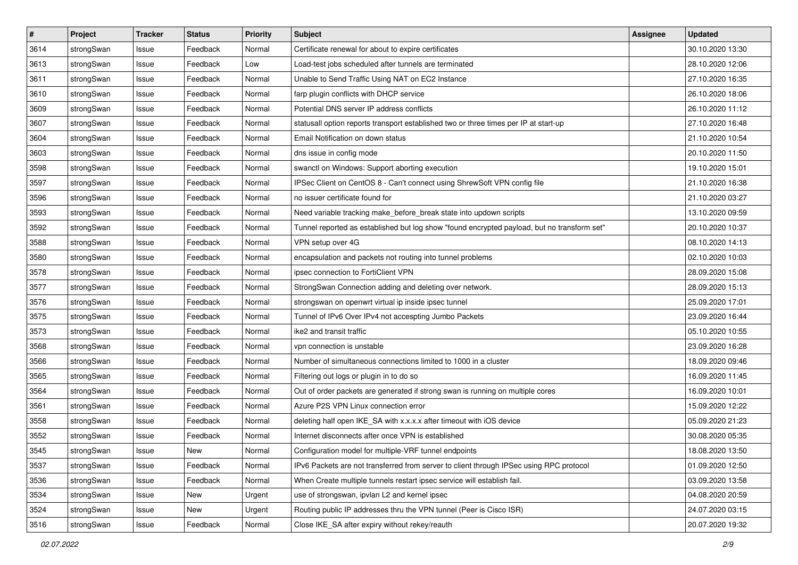| $\pmb{\#}$ | Project    | <b>Tracker</b> | <b>Status</b> | <b>Priority</b> | <b>Subject</b>                                                                              | Assignee | <b>Updated</b>   |
|------------|------------|----------------|---------------|-----------------|---------------------------------------------------------------------------------------------|----------|------------------|
| 3614       | strongSwan | Issue          | Feedback      | Normal          | Certificate renewal for about to expire certificates                                        |          | 30.10.2020 13:30 |
| 3613       | strongSwan | Issue          | Feedback      | Low             | Load-test jobs scheduled after tunnels are terminated                                       |          | 28.10.2020 12:06 |
| 3611       | strongSwan | Issue          | Feedback      | Normal          | Unable to Send Traffic Using NAT on EC2 Instance                                            |          | 27.10.2020 16:35 |
| 3610       | strongSwan | Issue          | Feedback      | Normal          | farp plugin conflicts with DHCP service                                                     |          | 26.10.2020 18:06 |
| 3609       | strongSwan | Issue          | Feedback      | Normal          | Potential DNS server IP address conflicts                                                   |          | 26.10.2020 11:12 |
| 3607       | strongSwan | Issue          | Feedback      | Normal          | statusall option reports transport established two or three times per IP at start-up        |          | 27.10.2020 16:48 |
| 3604       | strongSwan | Issue          | Feedback      | Normal          | Email Notification on down status                                                           |          | 21.10.2020 10:54 |
| 3603       | strongSwan | Issue          | Feedback      | Normal          | dns issue in config mode                                                                    |          | 20.10.2020 11:50 |
| 3598       | strongSwan | Issue          | Feedback      | Normal          | swanctl on Windows: Support aborting execution                                              |          | 19.10.2020 15:01 |
| 3597       | strongSwan | Issue          | Feedback      | Normal          | IPSec Client on CentOS 8 - Can't connect using ShrewSoft VPN config file                    |          | 21.10.2020 16:38 |
| 3596       | strongSwan | Issue          | Feedback      | Normal          | no issuer certificate found for                                                             |          | 21.10.2020 03:27 |
| 3593       | strongSwan | Issue          | Feedback      | Normal          | Need variable tracking make_before_break state into updown scripts                          |          | 13.10.2020 09:59 |
| 3592       | strongSwan | Issue          | Feedback      | Normal          | Tunnel reported as established but log show "found encrypted payload, but no transform set" |          | 20.10.2020 10:37 |
| 3588       | strongSwan | lssue          | Feedback      | Normal          | VPN setup over 4G                                                                           |          | 08.10.2020 14:13 |
| 3580       | strongSwan | Issue          | Feedback      | Normal          | encapsulation and packets not routing into tunnel problems                                  |          | 02.10.2020 10:03 |
| 3578       | strongSwan | Issue          | Feedback      | Normal          | ipsec connection to FortiClient VPN                                                         |          | 28.09.2020 15:08 |
| 3577       | strongSwan | Issue          | Feedback      | Normal          | StrongSwan Connection adding and deleting over network.                                     |          | 28.09.2020 15:13 |
| 3576       | strongSwan | Issue          | Feedback      | Normal          | strongswan on openwrt virtual ip inside ipsec tunnel                                        |          | 25.09.2020 17:01 |
| 3575       | strongSwan | Issue          | Feedback      | Normal          | Tunnel of IPv6 Over IPv4 not accespting Jumbo Packets                                       |          | 23.09.2020 16:44 |
| 3573       | strongSwan | Issue          | Feedback      | Normal          | ike2 and transit traffic                                                                    |          | 05.10.2020 10:55 |
| 3568       | strongSwan | Issue          | Feedback      | Normal          | vpn connection is unstable                                                                  |          | 23.09.2020 16:28 |
| 3566       | strongSwan | Issue          | Feedback      | Normal          | Number of simultaneous connections limited to 1000 in a cluster                             |          | 18.09.2020 09:46 |
| 3565       | strongSwan | Issue          | Feedback      | Normal          | Filtering out logs or plugin in to do so                                                    |          | 16.09.2020 11:45 |
| 3564       | strongSwan | Issue          | Feedback      | Normal          | Out of order packets are generated if strong swan is running on multiple cores              |          | 16.09.2020 10:01 |
| 3561       | strongSwan | Issue          | Feedback      | Normal          | Azure P2S VPN Linux connection error                                                        |          | 15.09.2020 12:22 |
| 3558       | strongSwan | Issue          | Feedback      | Normal          | deleting half open IKE_SA with x.x.x.x after timeout with iOS device                        |          | 05.09.2020 21:23 |
| 3552       | strongSwan | Issue          | Feedback      | Normal          | Internet disconnects after once VPN is established                                          |          | 30.08.2020 05:35 |
| 3545       | strongSwan | Issue          | New           | Normal          | Configuration model for multiple-VRF tunnel endpoints                                       |          | 18.08.2020 13:50 |
| 3537       | strongSwan | Issue          | Feedback      | Normal          | IPv6 Packets are not transferred from server to client through IPSec using RPC protocol     |          | 01.09.2020 12:50 |
| 3536       | strongSwan | Issue          | Feedback      | Normal          | When Create multiple tunnels restart ipsec service will establish fail.                     |          | 03.09.2020 13:58 |
| 3534       | strongSwan | Issue          | New           | Urgent          | use of strongswan, ipvlan L2 and kernel ipsec                                               |          | 04.08.2020 20:59 |
| 3524       | strongSwan | Issue          | New           | Urgent          | Routing public IP addresses thru the VPN tunnel (Peer is Cisco ISR)                         |          | 24.07.2020 03:15 |
| 3516       | strongSwan | Issue          | Feedback      | Normal          | Close IKE_SA after expiry without rekey/reauth                                              |          | 20.07.2020 19:32 |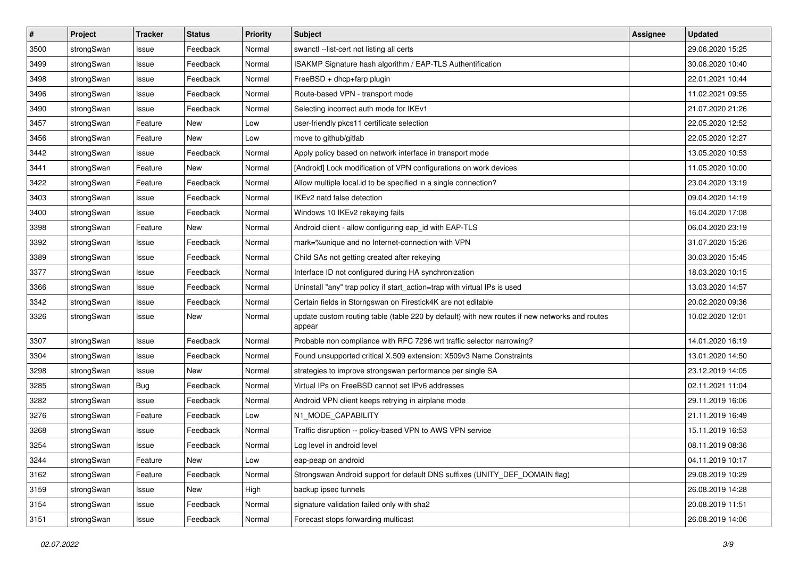| $\pmb{\#}$ | Project    | <b>Tracker</b> | <b>Status</b> | <b>Priority</b> | <b>Subject</b>                                                                                          | Assignee | <b>Updated</b>   |
|------------|------------|----------------|---------------|-----------------|---------------------------------------------------------------------------------------------------------|----------|------------------|
| 3500       | strongSwan | Issue          | Feedback      | Normal          | swanctl --list-cert not listing all certs                                                               |          | 29.06.2020 15:25 |
| 3499       | strongSwan | Issue          | Feedback      | Normal          | ISAKMP Signature hash algorithm / EAP-TLS Authentification                                              |          | 30.06.2020 10:40 |
| 3498       | strongSwan | Issue          | Feedback      | Normal          | FreeBSD + dhcp+farp plugin                                                                              |          | 22.01.2021 10:44 |
| 3496       | strongSwan | Issue          | Feedback      | Normal          | Route-based VPN - transport mode                                                                        |          | 11.02.2021 09:55 |
| 3490       | strongSwan | Issue          | Feedback      | Normal          | Selecting incorrect auth mode for IKEv1                                                                 |          | 21.07.2020 21:26 |
| 3457       | strongSwan | Feature        | New           | Low             | user-friendly pkcs11 certificate selection                                                              |          | 22.05.2020 12:52 |
| 3456       | strongSwan | Feature        | New           | Low             | move to github/gitlab                                                                                   |          | 22.05.2020 12:27 |
| 3442       | strongSwan | Issue          | Feedback      | Normal          | Apply policy based on network interface in transport mode                                               |          | 13.05.2020 10:53 |
| 3441       | strongSwan | Feature        | New           | Normal          | [Android] Lock modification of VPN configurations on work devices                                       |          | 11.05.2020 10:00 |
| 3422       | strongSwan | Feature        | Feedback      | Normal          | Allow multiple local.id to be specified in a single connection?                                         |          | 23.04.2020 13:19 |
| 3403       | strongSwan | Issue          | Feedback      | Normal          | IKEv2 natd false detection                                                                              |          | 09.04.2020 14:19 |
| 3400       | strongSwan | Issue          | Feedback      | Normal          | Windows 10 IKEv2 rekeying fails                                                                         |          | 16.04.2020 17:08 |
| 3398       | strongSwan | Feature        | New           | Normal          | Android client - allow configuring eap_id with EAP-TLS                                                  |          | 06.04.2020 23:19 |
| 3392       | strongSwan | Issue          | Feedback      | Normal          | mark=%unique and no Internet-connection with VPN                                                        |          | 31.07.2020 15:26 |
| 3389       | strongSwan | Issue          | Feedback      | Normal          | Child SAs not getting created after rekeying                                                            |          | 30.03.2020 15:45 |
| 3377       | strongSwan | Issue          | Feedback      | Normal          | Interface ID not configured during HA synchronization                                                   |          | 18.03.2020 10:15 |
| 3366       | strongSwan | Issue          | Feedback      | Normal          | Uninstall "any" trap policy if start_action=trap with virtual IPs is used                               |          | 13.03.2020 14:57 |
| 3342       | strongSwan | Issue          | Feedback      | Normal          | Certain fields in Storngswan on Firestick4K are not editable                                            |          | 20.02.2020 09:36 |
| 3326       | strongSwan | Issue          | New           | Normal          | update custom routing table (table 220 by default) with new routes if new networks and routes<br>appear |          | 10.02.2020 12:01 |
| 3307       | strongSwan | Issue          | Feedback      | Normal          | Probable non compliance with RFC 7296 wrt traffic selector narrowing?                                   |          | 14.01.2020 16:19 |
| 3304       | strongSwan | Issue          | Feedback      | Normal          | Found unsupported critical X.509 extension: X509v3 Name Constraints                                     |          | 13.01.2020 14:50 |
| 3298       | strongSwan | Issue          | <b>New</b>    | Normal          | strategies to improve strongswan performance per single SA                                              |          | 23.12.2019 14:05 |
| 3285       | strongSwan | Bug            | Feedback      | Normal          | Virtual IPs on FreeBSD cannot set IPv6 addresses                                                        |          | 02.11.2021 11:04 |
| 3282       | strongSwan | Issue          | Feedback      | Normal          | Android VPN client keeps retrying in airplane mode                                                      |          | 29.11.2019 16:06 |
| 3276       | strongSwan | Feature        | Feedback      | Low             | N1_MODE_CAPABILITY                                                                                      |          | 21.11.2019 16:49 |
| 3268       | strongSwan | Issue          | Feedback      | Normal          | Traffic disruption -- policy-based VPN to AWS VPN service                                               |          | 15.11.2019 16:53 |
| 3254       | strongSwan | Issue          | Feedback      | Normal          | Log level in android level                                                                              |          | 08.11.2019 08:36 |
| 3244       | strongSwan | Feature        | New           | Low             | eap-peap on android                                                                                     |          | 04.11.2019 10:17 |
| 3162       | strongSwan | Feature        | Feedback      | Normal          | Strongswan Android support for default DNS suffixes (UNITY DEF DOMAIN flag)                             |          | 29.08.2019 10:29 |
| 3159       | strongSwan | Issue          | New           | High            | backup ipsec tunnels                                                                                    |          | 26.08.2019 14:28 |
| 3154       | strongSwan | Issue          | Feedback      | Normal          | signature validation failed only with sha2                                                              |          | 20.08.2019 11:51 |
| 3151       | strongSwan | Issue          | Feedback      | Normal          | Forecast stops forwarding multicast                                                                     |          | 26.08.2019 14:06 |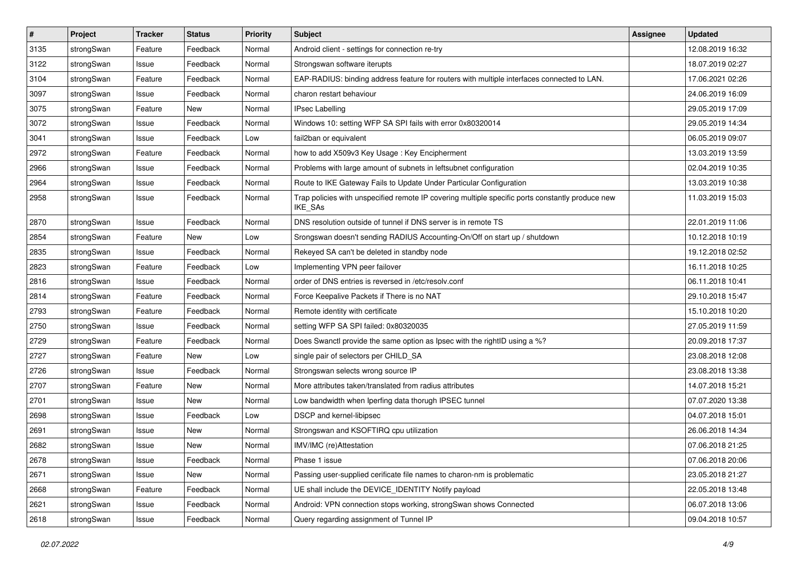| $\pmb{\#}$ | Project    | <b>Tracker</b> | <b>Status</b> | <b>Priority</b> | <b>Subject</b>                                                                                              | <b>Assignee</b> | <b>Updated</b>   |
|------------|------------|----------------|---------------|-----------------|-------------------------------------------------------------------------------------------------------------|-----------------|------------------|
| 3135       | strongSwan | Feature        | Feedback      | Normal          | Android client - settings for connection re-try                                                             |                 | 12.08.2019 16:32 |
| 3122       | strongSwan | Issue          | Feedback      | Normal          | Strongswan software iterupts                                                                                |                 | 18.07.2019 02:27 |
| 3104       | strongSwan | Feature        | Feedback      | Normal          | EAP-RADIUS: binding address feature for routers with multiple interfaces connected to LAN.                  |                 | 17.06.2021 02:26 |
| 3097       | strongSwan | Issue          | Feedback      | Normal          | charon restart behaviour                                                                                    |                 | 24.06.2019 16:09 |
| 3075       | strongSwan | Feature        | New           | Normal          | <b>IPsec Labelling</b>                                                                                      |                 | 29.05.2019 17:09 |
| 3072       | strongSwan | Issue          | Feedback      | Normal          | Windows 10: setting WFP SA SPI fails with error 0x80320014                                                  |                 | 29.05.2019 14:34 |
| 3041       | strongSwan | Issue          | Feedback      | Low             | fail2ban or equivalent                                                                                      |                 | 06.05.2019 09:07 |
| 2972       | strongSwan | Feature        | Feedback      | Normal          | how to add X509v3 Key Usage: Key Encipherment                                                               |                 | 13.03.2019 13:59 |
| 2966       | strongSwan | Issue          | Feedback      | Normal          | Problems with large amount of subnets in leftsubnet configuration                                           |                 | 02.04.2019 10:35 |
| 2964       | strongSwan | Issue          | Feedback      | Normal          | Route to IKE Gateway Fails to Update Under Particular Configuration                                         |                 | 13.03.2019 10:38 |
| 2958       | strongSwan | Issue          | Feedback      | Normal          | Trap policies with unspecified remote IP covering multiple specific ports constantly produce new<br>IKE_SAs |                 | 11.03.2019 15:03 |
| 2870       | strongSwan | Issue          | Feedback      | Normal          | DNS resolution outside of tunnel if DNS server is in remote TS                                              |                 | 22.01.2019 11:06 |
| 2854       | strongSwan | Feature        | New           | Low             | Srongswan doesn't sending RADIUS Accounting-On/Off on start up / shutdown                                   |                 | 10.12.2018 10:19 |
| 2835       | strongSwan | Issue          | Feedback      | Normal          | Rekeyed SA can't be deleted in standby node                                                                 |                 | 19.12.2018 02:52 |
| 2823       | strongSwan | Feature        | Feedback      | Low             | Implementing VPN peer failover                                                                              |                 | 16.11.2018 10:25 |
| 2816       | strongSwan | Issue          | Feedback      | Normal          | order of DNS entries is reversed in /etc/resolv.conf                                                        |                 | 06.11.2018 10:41 |
| 2814       | strongSwan | Feature        | Feedback      | Normal          | Force Keepalive Packets if There is no NAT                                                                  |                 | 29.10.2018 15:47 |
| 2793       | strongSwan | Feature        | Feedback      | Normal          | Remote identity with certificate                                                                            |                 | 15.10.2018 10:20 |
| 2750       | strongSwan | Issue          | Feedback      | Normal          | setting WFP SA SPI failed: 0x80320035                                                                       |                 | 27.05.2019 11:59 |
| 2729       | strongSwan | Feature        | Feedback      | Normal          | Does Swanctl provide the same option as Ipsec with the rightID using a %?                                   |                 | 20.09.2018 17:37 |
| 2727       | strongSwan | Feature        | New           | Low             | single pair of selectors per CHILD_SA                                                                       |                 | 23.08.2018 12:08 |
| 2726       | strongSwan | Issue          | Feedback      | Normal          | Strongswan selects wrong source IP                                                                          |                 | 23.08.2018 13:38 |
| 2707       | strongSwan | Feature        | New           | Normal          | More attributes taken/translated from radius attributes                                                     |                 | 14.07.2018 15:21 |
| 2701       | strongSwan | Issue          | New           | Normal          | Low bandwidth when Iperfing data thorugh IPSEC tunnel                                                       |                 | 07.07.2020 13:38 |
| 2698       | strongSwan | Issue          | Feedback      | Low             | DSCP and kernel-libipsec                                                                                    |                 | 04.07.2018 15:01 |
| 2691       | strongSwan | Issue          | New           | Normal          | Strongswan and KSOFTIRQ cpu utilization                                                                     |                 | 26.06.2018 14:34 |
| 2682       | strongSwan | Issue          | New           | Normal          | IMV/IMC (re)Attestation                                                                                     |                 | 07.06.2018 21:25 |
| 2678       | strongSwan | Issue          | Feedback      | Normal          | Phase 1 issue                                                                                               |                 | 07.06.2018 20:06 |
| 2671       | strongSwan | Issue          | New           | Normal          | Passing user-supplied cerificate file names to charon-nm is problematic                                     |                 | 23.05.2018 21:27 |
| 2668       | strongSwan | Feature        | Feedback      | Normal          | UE shall include the DEVICE_IDENTITY Notify payload                                                         |                 | 22.05.2018 13:48 |
| 2621       | strongSwan | Issue          | Feedback      | Normal          | Android: VPN connection stops working, strongSwan shows Connected                                           |                 | 06.07.2018 13:06 |
| 2618       | strongSwan | Issue          | Feedback      | Normal          | Query regarding assignment of Tunnel IP                                                                     |                 | 09.04.2018 10:57 |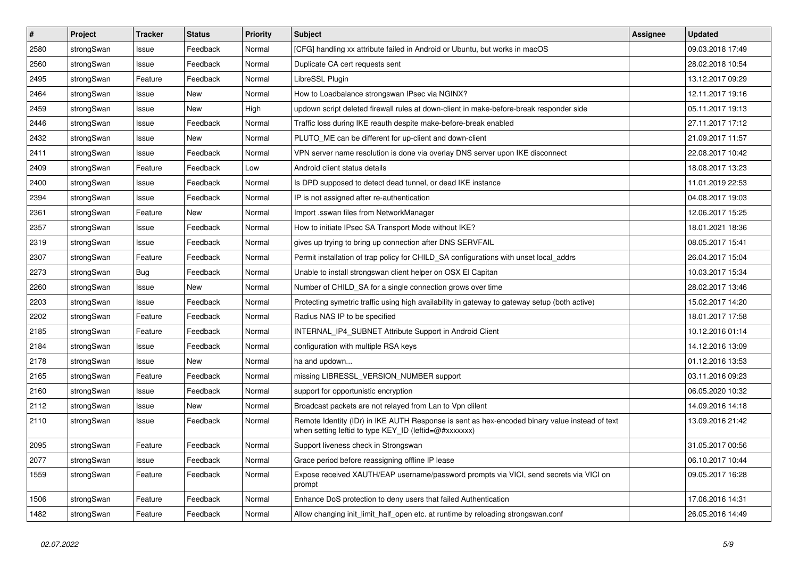| $\pmb{\#}$ | Project    | <b>Tracker</b> | <b>Status</b> | <b>Priority</b> | <b>Subject</b>                                                                                                                                          | <b>Assignee</b> | <b>Updated</b>   |
|------------|------------|----------------|---------------|-----------------|---------------------------------------------------------------------------------------------------------------------------------------------------------|-----------------|------------------|
| 2580       | strongSwan | Issue          | Feedback      | Normal          | [CFG] handling xx attribute failed in Android or Ubuntu, but works in macOS                                                                             |                 | 09.03.2018 17:49 |
| 2560       | strongSwan | Issue          | Feedback      | Normal          | Duplicate CA cert requests sent                                                                                                                         |                 | 28.02.2018 10:54 |
| 2495       | strongSwan | Feature        | Feedback      | Normal          | LibreSSL Plugin                                                                                                                                         |                 | 13.12.2017 09:29 |
| 2464       | strongSwan | Issue          | <b>New</b>    | Normal          | How to Loadbalance strongswan IPsec via NGINX?                                                                                                          |                 | 12.11.2017 19:16 |
| 2459       | strongSwan | Issue          | <b>New</b>    | High            | updown script deleted firewall rules at down-client in make-before-break responder side                                                                 |                 | 05.11.2017 19:13 |
| 2446       | strongSwan | Issue          | Feedback      | Normal          | Traffic loss during IKE reauth despite make-before-break enabled                                                                                        |                 | 27.11.2017 17:12 |
| 2432       | strongSwan | Issue          | New           | Normal          | PLUTO ME can be different for up-client and down-client                                                                                                 |                 | 21.09.2017 11:57 |
| 2411       | strongSwan | Issue          | Feedback      | Normal          | VPN server name resolution is done via overlay DNS server upon IKE disconnect                                                                           |                 | 22.08.2017 10:42 |
| 2409       | strongSwan | Feature        | Feedback      | Low             | Android client status details                                                                                                                           |                 | 18.08.2017 13:23 |
| 2400       | strongSwan | Issue          | Feedback      | Normal          | Is DPD supposed to detect dead tunnel, or dead IKE instance                                                                                             |                 | 11.01.2019 22:53 |
| 2394       | strongSwan | Issue          | Feedback      | Normal          | IP is not assigned after re-authentication                                                                                                              |                 | 04.08.2017 19:03 |
| 2361       | strongSwan | Feature        | New           | Normal          | Import .sswan files from NetworkManager                                                                                                                 |                 | 12.06.2017 15:25 |
| 2357       | strongSwan | Issue          | Feedback      | Normal          | How to initiate IPsec SA Transport Mode without IKE?                                                                                                    |                 | 18.01.2021 18:36 |
| 2319       | strongSwan | Issue          | Feedback      | Normal          | gives up trying to bring up connection after DNS SERVFAIL                                                                                               |                 | 08.05.2017 15:41 |
| 2307       | strongSwan | Feature        | Feedback      | Normal          | Permit installation of trap policy for CHILD_SA configurations with unset local_addrs                                                                   |                 | 26.04.2017 15:04 |
| 2273       | strongSwan | Bug            | Feedback      | Normal          | Unable to install strongswan client helper on OSX El Capitan                                                                                            |                 | 10.03.2017 15:34 |
| 2260       | strongSwan | Issue          | New           | Normal          | Number of CHILD_SA for a single connection grows over time                                                                                              |                 | 28.02.2017 13:46 |
| 2203       | strongSwan | Issue          | Feedback      | Normal          | Protecting symetric traffic using high availability in gateway to gateway setup (both active)                                                           |                 | 15.02.2017 14:20 |
| 2202       | strongSwan | Feature        | Feedback      | Normal          | Radius NAS IP to be specified                                                                                                                           |                 | 18.01.2017 17:58 |
| 2185       | strongSwan | Feature        | Feedback      | Normal          | INTERNAL IP4 SUBNET Attribute Support in Android Client                                                                                                 |                 | 10.12.2016 01:14 |
| 2184       | strongSwan | Issue          | Feedback      | Normal          | configuration with multiple RSA keys                                                                                                                    |                 | 14.12.2016 13:09 |
| 2178       | strongSwan | Issue          | New           | Normal          | ha and updown                                                                                                                                           |                 | 01.12.2016 13:53 |
| 2165       | strongSwan | Feature        | Feedback      | Normal          | missing LIBRESSL_VERSION_NUMBER support                                                                                                                 |                 | 03.11.2016 09:23 |
| 2160       | strongSwan | Issue          | Feedback      | Normal          | support for opportunistic encryption                                                                                                                    |                 | 06.05.2020 10:32 |
| 2112       | strongSwan | Issue          | New           | Normal          | Broadcast packets are not relayed from Lan to Vpn clilent                                                                                               |                 | 14.09.2016 14:18 |
| 2110       | strongSwan | Issue          | Feedback      | Normal          | Remote Identity (IDr) in IKE AUTH Response is sent as hex-encoded binary value instead of text<br>when setting leftid to type KEY_ID (leftid=@#xxxxxxx) |                 | 13.09.2016 21:42 |
| 2095       | strongSwan | Feature        | Feedback      | Normal          | Support liveness check in Strongswan                                                                                                                    |                 | 31.05.2017 00:56 |
| 2077       | strongSwan | Issue          | Feedback      | Normal          | Grace period before reassigning offline IP lease                                                                                                        |                 | 06.10.2017 10:44 |
| 1559       | strongSwan | Feature        | Feedback      | Normal          | Expose received XAUTH/EAP username/password prompts via VICI, send secrets via VICI on<br>prompt                                                        |                 | 09.05.2017 16:28 |
| 1506       | strongSwan | Feature        | Feedback      | Normal          | Enhance DoS protection to deny users that failed Authentication                                                                                         |                 | 17.06.2016 14:31 |
| 1482       | strongSwan | Feature        | Feedback      | Normal          | Allow changing init_limit_half_open etc. at runtime by reloading strongswan.conf                                                                        |                 | 26.05.2016 14:49 |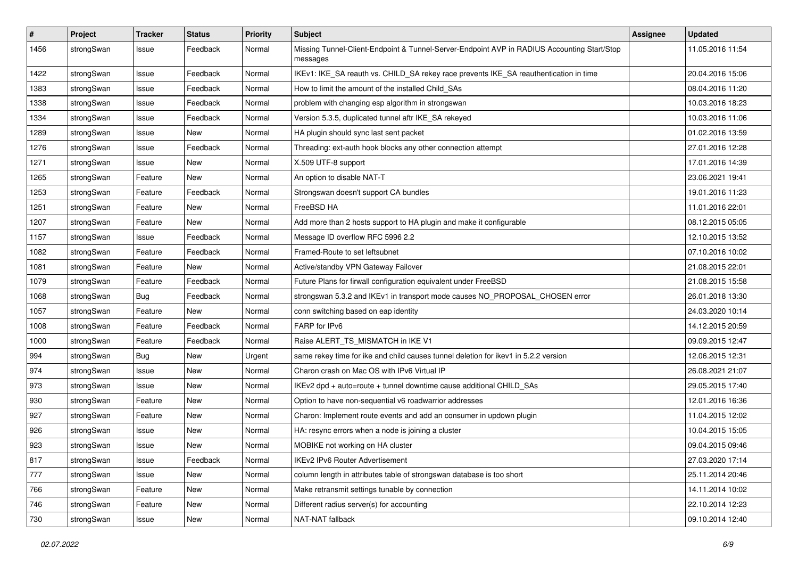| #    | Project    | <b>Tracker</b> | <b>Status</b> | <b>Priority</b> | <b>Subject</b>                                                                                          | <b>Assignee</b> | <b>Updated</b>   |
|------|------------|----------------|---------------|-----------------|---------------------------------------------------------------------------------------------------------|-----------------|------------------|
| 1456 | strongSwan | Issue          | Feedback      | Normal          | Missing Tunnel-Client-Endpoint & Tunnel-Server-Endpoint AVP in RADIUS Accounting Start/Stop<br>messages |                 | 11.05.2016 11:54 |
| 1422 | strongSwan | Issue          | Feedback      | Normal          | IKEv1: IKE_SA reauth vs. CHILD_SA rekey race prevents IKE_SA reauthentication in time                   |                 | 20.04.2016 15:06 |
| 1383 | strongSwan | Issue          | Feedback      | Normal          | How to limit the amount of the installed Child SAs                                                      |                 | 08.04.2016 11:20 |
| 1338 | strongSwan | Issue          | Feedback      | Normal          | problem with changing esp algorithm in strongswan                                                       |                 | 10.03.2016 18:23 |
| 1334 | strongSwan | Issue          | Feedback      | Normal          | Version 5.3.5, duplicated tunnel aftr IKE_SA rekeyed                                                    |                 | 10.03.2016 11:06 |
| 1289 | strongSwan | Issue          | <b>New</b>    | Normal          | HA plugin should sync last sent packet                                                                  |                 | 01.02.2016 13:59 |
| 1276 | strongSwan | Issue          | Feedback      | Normal          | Threading: ext-auth hook blocks any other connection attempt                                            |                 | 27.01.2016 12:28 |
| 1271 | strongSwan | Issue          | <b>New</b>    | Normal          | X.509 UTF-8 support                                                                                     |                 | 17.01.2016 14:39 |
| 1265 | strongSwan | Feature        | New           | Normal          | An option to disable NAT-T                                                                              |                 | 23.06.2021 19:41 |
| 1253 | strongSwan | Feature        | Feedback      | Normal          | Strongswan doesn't support CA bundles                                                                   |                 | 19.01.2016 11:23 |
| 1251 | strongSwan | Feature        | New           | Normal          | FreeBSD HA                                                                                              |                 | 11.01.2016 22:01 |
| 1207 | strongSwan | Feature        | New           | Normal          | Add more than 2 hosts support to HA plugin and make it configurable                                     |                 | 08.12.2015 05:05 |
| 1157 | strongSwan | Issue          | Feedback      | Normal          | Message ID overflow RFC 5996 2.2                                                                        |                 | 12.10.2015 13:52 |
| 1082 | strongSwan | Feature        | Feedback      | Normal          | Framed-Route to set leftsubnet                                                                          |                 | 07.10.2016 10:02 |
| 1081 | strongSwan | Feature        | New           | Normal          | Active/standby VPN Gateway Failover                                                                     |                 | 21.08.2015 22:01 |
| 1079 | strongSwan | Feature        | Feedback      | Normal          | Future Plans for firwall configuration equivalent under FreeBSD                                         |                 | 21.08.2015 15:58 |
| 1068 | strongSwan | <b>Bug</b>     | Feedback      | Normal          | strongswan 5.3.2 and IKEv1 in transport mode causes NO_PROPOSAL_CHOSEN error                            |                 | 26.01.2018 13:30 |
| 1057 | strongSwan | Feature        | New           | Normal          | conn switching based on eap identity                                                                    |                 | 24.03.2020 10:14 |
| 1008 | strongSwan | Feature        | Feedback      | Normal          | FARP for IPv6                                                                                           |                 | 14.12.2015 20:59 |
| 1000 | strongSwan | Feature        | Feedback      | Normal          | Raise ALERT TS MISMATCH in IKE V1                                                                       |                 | 09.09.2015 12:47 |
| 994  | strongSwan | <b>Bug</b>     | New           | Urgent          | same rekey time for ike and child causes tunnel deletion for ikev1 in 5.2.2 version                     |                 | 12.06.2015 12:31 |
| 974  | strongSwan | Issue          | New           | Normal          | Charon crash on Mac OS with IPv6 Virtual IP                                                             |                 | 26.08.2021 21:07 |
| 973  | strongSwan | Issue          | New           | Normal          | IKEv2 dpd + auto=route + tunnel downtime cause additional CHILD_SAs                                     |                 | 29.05.2015 17:40 |
| 930  | strongSwan | Feature        | <b>New</b>    | Normal          | Option to have non-sequential v6 roadwarrior addresses                                                  |                 | 12.01.2016 16:36 |
| 927  | strongSwan | Feature        | New           | Normal          | Charon: Implement route events and add an consumer in updown plugin                                     |                 | 11.04.2015 12:02 |
| 926  | strongSwan | Issue          | New           | Normal          | HA: resync errors when a node is joining a cluster                                                      |                 | 10.04.2015 15:05 |
| 923  | strongSwan | Issue          | New           | Normal          | MOBIKE not working on HA cluster                                                                        |                 | 09.04.2015 09:46 |
| 817  | strongSwan | Issue          | Feedback      | Normal          | IKEv2 IPv6 Router Advertisement                                                                         |                 | 27.03.2020 17:14 |
| 777  | strongSwan | Issue          | New           | Normal          | column length in attributes table of strongswan database is too short                                   |                 | 25.11.2014 20:46 |
| 766  | strongSwan | Feature        | New           | Normal          | Make retransmit settings tunable by connection                                                          |                 | 14.11.2014 10:02 |
| 746  | strongSwan | Feature        | New           | Normal          | Different radius server(s) for accounting                                                               |                 | 22.10.2014 12:23 |
| 730  | strongSwan | Issue          | New           | Normal          | NAT-NAT fallback                                                                                        |                 | 09.10.2014 12:40 |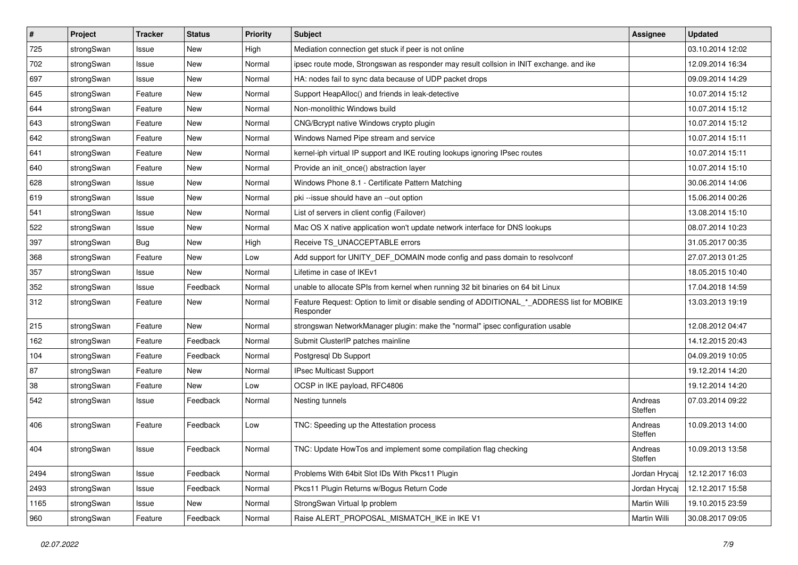| $\vert$ # | Project    | <b>Tracker</b> | <b>Status</b> | <b>Priority</b> | Subject                                                                                                  | <b>Assignee</b>    | <b>Updated</b>   |
|-----------|------------|----------------|---------------|-----------------|----------------------------------------------------------------------------------------------------------|--------------------|------------------|
| 725       | strongSwan | Issue          | New           | High            | Mediation connection get stuck if peer is not online                                                     |                    | 03.10.2014 12:02 |
| 702       | strongSwan | Issue          | <b>New</b>    | Normal          | ipsec route mode, Strongswan as responder may result collsion in INIT exchange. and ike                  |                    | 12.09.2014 16:34 |
| 697       | strongSwan | Issue          | New           | Normal          | HA: nodes fail to sync data because of UDP packet drops                                                  |                    | 09.09.2014 14:29 |
| 645       | strongSwan | Feature        | New           | Normal          | Support HeapAlloc() and friends in leak-detective                                                        |                    | 10.07.2014 15:12 |
| 644       | strongSwan | Feature        | <b>New</b>    | Normal          | Non-monolithic Windows build                                                                             |                    | 10.07.2014 15:12 |
| 643       | strongSwan | Feature        | New           | Normal          | CNG/Bcrypt native Windows crypto plugin                                                                  |                    | 10.07.2014 15:12 |
| 642       | strongSwan | Feature        | New           | Normal          | Windows Named Pipe stream and service                                                                    |                    | 10.07.2014 15:11 |
| 641       | strongSwan | Feature        | New           | Normal          | kernel-iph virtual IP support and IKE routing lookups ignoring IPsec routes                              |                    | 10.07.2014 15:11 |
| 640       | strongSwan | Feature        | New           | Normal          | Provide an init_once() abstraction layer                                                                 |                    | 10.07.2014 15:10 |
| 628       | strongSwan | Issue          | New           | Normal          | Windows Phone 8.1 - Certificate Pattern Matching                                                         |                    | 30.06.2014 14:06 |
| 619       | strongSwan | Issue          | New           | Normal          | pki --issue should have an --out option                                                                  |                    | 15.06.2014 00:26 |
| 541       | strongSwan | Issue          | <b>New</b>    | Normal          | List of servers in client config (Failover)                                                              |                    | 13.08.2014 15:10 |
| 522       | strongSwan | Issue          | New           | Normal          | Mac OS X native application won't update network interface for DNS lookups                               |                    | 08.07.2014 10:23 |
| 397       | strongSwan | <b>Bug</b>     | New           | High            | Receive TS UNACCEPTABLE errors                                                                           |                    | 31.05.2017 00:35 |
| 368       | strongSwan | Feature        | <b>New</b>    | Low             | Add support for UNITY_DEF_DOMAIN mode config and pass domain to resolvconf                               |                    | 27.07.2013 01:25 |
| 357       | strongSwan | Issue          | New           | Normal          | Lifetime in case of IKEv1                                                                                |                    | 18.05.2015 10:40 |
| 352       | strongSwan | Issue          | Feedback      | Normal          | unable to allocate SPIs from kernel when running 32 bit binaries on 64 bit Linux                         |                    | 17.04.2018 14:59 |
| 312       | strongSwan | Feature        | <b>New</b>    | Normal          | Feature Request: Option to limit or disable sending of ADDITIONAL_*_ADDRESS list for MOBIKE<br>Responder |                    | 13.03.2013 19:19 |
| 215       | strongSwan | Feature        | <b>New</b>    | Normal          | strongswan NetworkManager plugin: make the "normal" ipsec configuration usable                           |                    | 12.08.2012 04:47 |
| 162       | strongSwan | Feature        | Feedback      | Normal          | Submit ClusterIP patches mainline                                                                        |                    | 14.12.2015 20:43 |
| 104       | strongSwan | Feature        | Feedback      | Normal          | Postgresql Db Support                                                                                    |                    | 04.09.2019 10:05 |
| 87        | strongSwan | Feature        | New           | Normal          | IPsec Multicast Support                                                                                  |                    | 19.12.2014 14:20 |
| 38        | strongSwan | Feature        | New           | Low             | OCSP in IKE payload, RFC4806                                                                             |                    | 19.12.2014 14:20 |
| 542       | strongSwan | Issue          | Feedback      | Normal          | Nesting tunnels                                                                                          | Andreas<br>Steffen | 07.03.2014 09:22 |
| 406       | strongSwan | Feature        | Feedback      | Low             | TNC: Speeding up the Attestation process                                                                 | Andreas<br>Steffen | 10.09.2013 14:00 |
| 404       | strongSwan | Issue          | Feedback      | Normal          | TNC: Update HowTos and implement some compilation flag checking                                          | Andreas<br>Steffen | 10.09.2013 13:58 |
| 2494      | strongSwan | Issue          | Feedback      | Normal          | Problems With 64bit Slot IDs With Pkcs11 Plugin                                                          | Jordan Hrycaj      | 12.12.2017 16:03 |
| 2493      | strongSwan | Issue          | Feedback      | Normal          | Pkcs11 Plugin Returns w/Bogus Return Code                                                                | Jordan Hrycaj      | 12.12.2017 15:58 |
| 1165      | strongSwan | Issue          | New           | Normal          | StrongSwan Virtual Ip problem                                                                            | Martin Willi       | 19.10.2015 23:59 |
| 960       | strongSwan | Feature        | Feedback      | Normal          | Raise ALERT_PROPOSAL_MISMATCH_IKE in IKE V1                                                              | Martin Willi       | 30.08.2017 09:05 |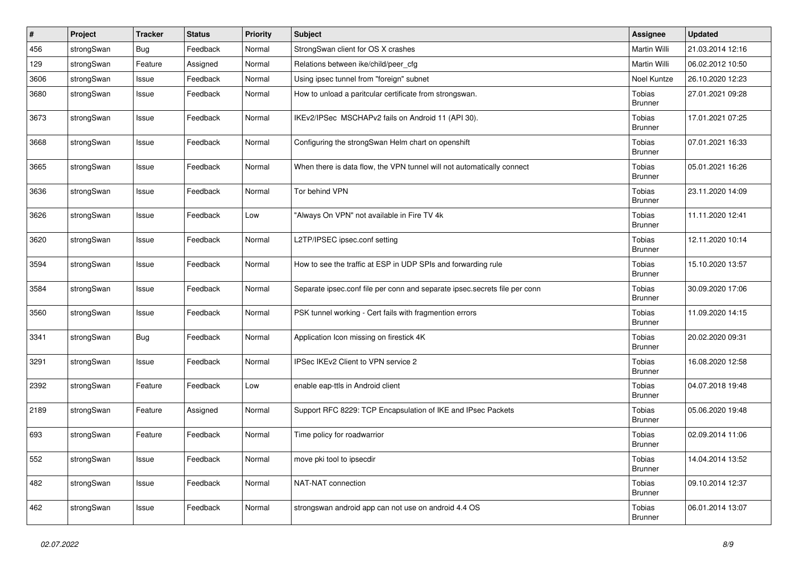| $\#$ | Project    | Tracker    | <b>Status</b> | <b>Priority</b> | Subject                                                                    | <b>Assignee</b>          | <b>Updated</b>   |
|------|------------|------------|---------------|-----------------|----------------------------------------------------------------------------|--------------------------|------------------|
| 456  | strongSwan | <b>Bug</b> | Feedback      | Normal          | StrongSwan client for OS X crashes                                         | Martin Willi             | 21.03.2014 12:16 |
| 129  | strongSwan | Feature    | Assigned      | Normal          | Relations between ike/child/peer_cfg                                       | Martin Willi             | 06.02.2012 10:50 |
| 3606 | strongSwan | Issue      | Feedback      | Normal          | Using ipsec tunnel from "foreign" subnet                                   | Noel Kuntze              | 26.10.2020 12:23 |
| 3680 | strongSwan | Issue      | Feedback      | Normal          | How to unload a paritcular certificate from strongswan.                    | Tobias<br><b>Brunner</b> | 27.01.2021 09:28 |
| 3673 | strongSwan | Issue      | Feedback      | Normal          | IKEv2/IPSec MSCHAPv2 fails on Android 11 (API 30).                         | Tobias<br><b>Brunner</b> | 17.01.2021 07:25 |
| 3668 | strongSwan | Issue      | Feedback      | Normal          | Configuring the strongSwan Helm chart on openshift                         | Tobias<br><b>Brunner</b> | 07.01.2021 16:33 |
| 3665 | strongSwan | Issue      | Feedback      | Normal          | When there is data flow, the VPN tunnel will not automatically connect     | Tobias<br><b>Brunner</b> | 05.01.2021 16:26 |
| 3636 | strongSwan | Issue      | Feedback      | Normal          | Tor behind VPN                                                             | Tobias<br><b>Brunner</b> | 23.11.2020 14:09 |
| 3626 | strongSwan | Issue      | Feedback      | Low             | "Always On VPN" not available in Fire TV 4k                                | Tobias<br><b>Brunner</b> | 11.11.2020 12:41 |
| 3620 | strongSwan | Issue      | Feedback      | Normal          | L2TP/IPSEC ipsec.conf setting                                              | Tobias<br><b>Brunner</b> | 12.11.2020 10:14 |
| 3594 | strongSwan | Issue      | Feedback      | Normal          | How to see the traffic at ESP in UDP SPIs and forwarding rule              | Tobias<br>Brunner        | 15.10.2020 13:57 |
| 3584 | strongSwan | Issue      | Feedback      | Normal          | Separate ipsec.conf file per conn and separate ipsec.secrets file per conn | Tobias<br><b>Brunner</b> | 30.09.2020 17:06 |
| 3560 | strongSwan | Issue      | Feedback      | Normal          | PSK tunnel working - Cert fails with fragmention errors                    | Tobias<br><b>Brunner</b> | 11.09.2020 14:15 |
| 3341 | strongSwan | Bug        | Feedback      | Normal          | Application Icon missing on firestick 4K                                   | Tobias<br><b>Brunner</b> | 20.02.2020 09:31 |
| 3291 | strongSwan | Issue      | Feedback      | Normal          | IPSec IKEv2 Client to VPN service 2                                        | Tobias<br><b>Brunner</b> | 16.08.2020 12:58 |
| 2392 | strongSwan | Feature    | Feedback      | Low             | enable eap-ttls in Android client                                          | Tobias<br><b>Brunner</b> | 04.07.2018 19:48 |
| 2189 | strongSwan | Feature    | Assigned      | Normal          | Support RFC 8229: TCP Encapsulation of IKE and IPsec Packets               | Tobias<br><b>Brunner</b> | 05.06.2020 19:48 |
| 693  | strongSwan | Feature    | Feedback      | Normal          | Time policy for roadwarrior                                                | Tobias<br><b>Brunner</b> | 02.09.2014 11:06 |
| 552  | strongSwan | Issue      | Feedback      | Normal          | move pki tool to ipsecdir                                                  | Tobias<br><b>Brunner</b> | 14.04.2014 13:52 |
| 482  | strongSwan | Issue      | Feedback      | Normal          | NAT-NAT connection                                                         | Tobias<br><b>Brunner</b> | 09.10.2014 12:37 |
| 462  | strongSwan | Issue      | Feedback      | Normal          | strongswan android app can not use on android 4.4 OS                       | Tobias<br><b>Brunner</b> | 06.01.2014 13:07 |